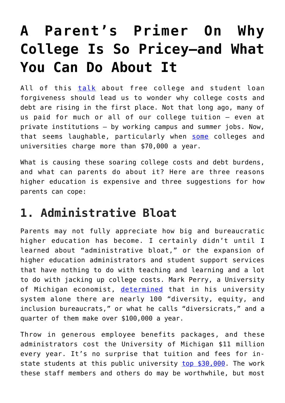# **[A Parent's Primer On Why](https://intellectualtakeout.org/2019/05/a-parents-primer-on-why-college-is-so-pricey-and-what-you-can-do-about-it/) [College Is So Pricey—and What](https://intellectualtakeout.org/2019/05/a-parents-primer-on-why-college-is-so-pricey-and-what-you-can-do-about-it/) [You Can Do About It](https://intellectualtakeout.org/2019/05/a-parents-primer-on-why-college-is-so-pricey-and-what-you-can-do-about-it/)**

All of this [talk](https://www.philly.com/opinion/commentary/elizabeth-warren-student-debt-relief-wealth-tax-20190424.html?fbclid=IwAR368-nzhCBKj14ZQIAPtjkzOVYwNQXGjekQiwGVBW2CDAcfA72G0T_ZMfc) about free college and student loan forgiveness should lead us to wonder why college costs and debt are rising in the first place. Not that long ago, many of us paid for much or all of our college tuition — even at private institutions — by working campus and summer jobs. Now, that seems laughable, particularly when [some](https://www.theatlantic.com/education/archive/2018/09/america-private-college-tuition/569812/) colleges and universities charge more than \$70,000 a year.

What is causing these soaring college costs and debt burdens, and what can parents do about it? Here are three reasons higher education is expensive and three suggestions for how parents can cope:

## **1. Administrative Bloat**

Parents may not fully appreciate how big and bureaucratic higher education has become. I certainly didn't until I learned about "administrative bloat," or the expansion of higher education administrators and student support services that have nothing to do with teaching and learning and a lot to do with jacking up college costs. Mark Perry, a University of Michigan economist, [determined](http://www.aei.org/publication/more-on-my-efforts-to-advance-diversity-equity-and-inclusion/) that in his university system alone there are nearly 100 "diversity, equity, and inclusion bureaucrats," or what he calls "diversicrats," and a quarter of them make over \$100,000 a year.

Throw in generous employee benefits packages, and these administrators cost the University of Michigan \$11 million every year. It's no surprise that tuition and fees for instate students at this public university [top \\$30,000](https://finaid.umich.edu/cost-of-attendance/). The work these staff members and others do may be worthwhile, but most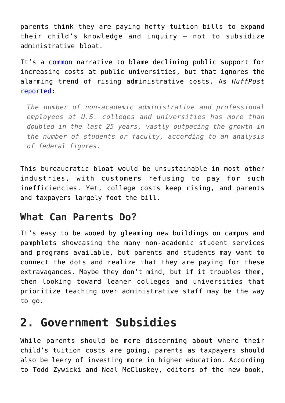parents think they are paying hefty tuition bills to expand their child's knowledge and inquiry — not to subsidize administrative bloat.

It's a [common](https://www.theatlantic.com/politics/archive/2018/05/american-higher-education-hits-a-dangerous-milestone/559457/) narrative to blame declining public support for increasing costs at public universities, but that ignores the alarming trend of rising administrative costs. As *HuffPost* [reported:](https://www.huffpost.com/entry/higher-ed-administrators-growth_n_4738584)

*The number of non-academic administrative and professional employees at U.S. colleges and universities has more than doubled in the last 25 years, vastly outpacing the growth in the number of students or faculty, according to an analysis of federal figures.*

This bureaucratic bloat would be unsustainable in most other industries, with customers refusing to pay for such inefficiencies. Yet, college costs keep rising, and parents and taxpayers largely foot the bill.

#### **What Can Parents Do?**

It's easy to be wooed by gleaming new buildings on campus and pamphlets showcasing the many non-academic student services and programs available, but parents and students may want to connect the dots and realize that they are paying for these extravagances. Maybe they don't mind, but if it troubles them, then looking toward leaner colleges and universities that prioritize teaching over administrative staff may be the way to go.

## **2. Government Subsidies**

While parents should be more discerning about where their child's tuition costs are going, parents as taxpayers should also be leery of investing more in higher education. According to Todd Zywicki and Neal McCluskey, editors of the new book,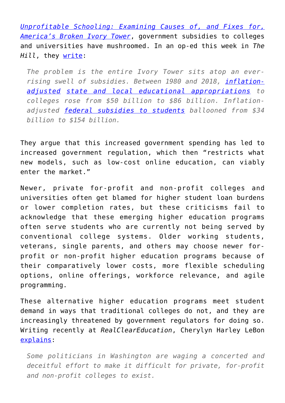*[Unprofitable Schooling: Examining Causes of, and Fixes for,](https://store.cato.org/book/unprofitable-schooling) [America's Broken Ivory Tower](https://store.cato.org/book/unprofitable-schooling)*, government subsidies to colleges and universities have mushroomed. In an op-ed this week in *The Hill*, they [write:](https://thehill.com/opinion/education/441576-subsidies-not-profits-have-crumbled-the-ivory-tower?fbclid=IwAR0ofQERJ_PQJW05oDEDycPa5uzoGnXdQ0D9ZoT7OTujzMMUif3zDuH5p64)

*The problem is the entire Ivory Tower sits atop an ever*rising swell of subsidies, Between 1980 and 2018, *inflation[adjusted](https://data.bls.gov/timeseries/CUUR0000SA0) [state and local educational appropriations](https://sheeo.org/wp-content/uploads/2019/04/SHEEO_SHEF_FY18_Nominal_Data.xlsx) to colleges rose from \$50 billion to \$86 billion. Inflationadjusted [federal subsidies to students](https://trends.collegeboard.org/student-aid/figures-tables/total-student-aid-and-nonfederal-loans-2017-dollars-over-time) ballooned from \$34 billion to \$154 billion.*

They argue that this increased government spending has led to increased government regulation, which then "restricts what new models, such as low-cost online education, can viably enter the market."

Newer, private for-profit and non-profit colleges and universities often get blamed for higher student loan burdens or lower completion rates, but these criticisms fail to acknowledge that these emerging higher education programs often serve students who are currently not being served by conventional college systems. Older working students, veterans, single parents, and others may choose newer forprofit or non-profit higher education programs because of their comparatively lower costs, more flexible scheduling options, online offerings, workforce relevance, and agile programming.

These alternative higher education programs meet student demand in ways that traditional colleges do not, and they are increasingly threatened by government regulators for doing so. Writing recently at *RealClearEducation*, Cherylyn Harley LeBon [explains:](https://www.realcleareducation.com/articles/2019/03/08/attack_on_for-profit_colleges_gets_ugly_110316.html)

*Some politicians in Washington are waging a concerted and deceitful effort to make it difficult for private, for-profit and non-profit colleges to exist.*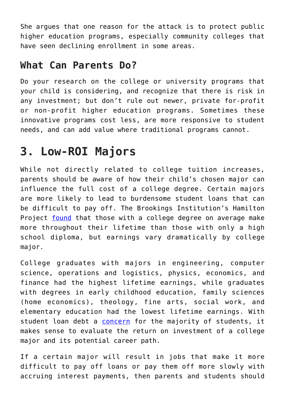She argues that one reason for the attack is to protect public higher education programs, especially community colleges that have seen declining enrollment in some areas.

#### **What Can Parents Do?**

Do your research on the college or university programs that your child is considering, and recognize that there is risk in any investment; but don't rule out newer, private for-profit or non-profit higher education programs. Sometimes these innovative programs cost less, are more responsive to student needs, and can add value where traditional programs cannot.

## **3. Low-ROI Majors**

While not directly related to college tuition increases, parents should be aware of how their child's chosen major can influence the full cost of a college degree. Certain majors are more likely to lead to burdensome student loans that can be difficult to pay off. The Brookings Institution's Hamilton Project [found](http://www.hamiltonproject.org/papers/major_decisions_what_graduates_earn_over_their_lifetimes/) that those with a college degree on average make more throughout their lifetime than those with only a high school diploma, but earnings vary dramatically by college major.

College graduates with majors in engineering, computer science, operations and logistics, physics, economics, and finance had the highest lifetime earnings, while graduates with degrees in early childhood education, family sciences (home economics), theology, fine arts, social work, and elementary education had the lowest lifetime earnings. With student loan debt a [concern](http://fortune.com/2018/10/17/student-loan-debt-crisis/) for the majority of students, it makes sense to evaluate the return on investment of a college major and its potential career path.

If a certain major will result in jobs that make it more difficult to pay off loans or pay them off more slowly with accruing interest payments, then parents and students should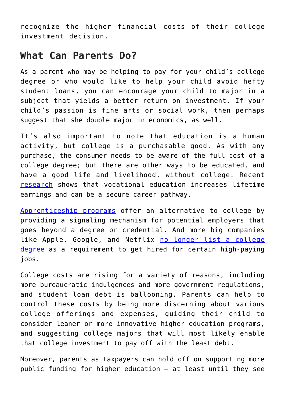recognize the higher financial costs of their college investment decision.

#### **What Can Parents Do?**

As a parent who may be helping to pay for your child's college degree or who would like to help your child avoid hefty student loans, you can encourage your child to major in a subject that yields a better return on investment. If your child's passion is fine arts or social work, then perhaps suggest that she double major in economics, as well.

It's also important to note that education is a human activity, but college is a purchasable good. As with any purchase, the consumer needs to be aware of the full cost of a college degree; but there are other ways to be educated, and have a good life and livelihood, without college. Recent [research](https://www.etla.fi/en/publications/labor-market-returns-to-vocational-secondary-education/) shows that vocational education increases lifetime earnings and can be a secure career pathway.

[Apprenticeship programs](https://discoverpraxis.com/) offer an alternative to college by providing a signaling mechanism for potential employers that goes beyond a degree or credential. And more big companies like Apple, Google, and Netflix [no longer list a college](https://www.marketwatch.com/story/you-dont-need-a-4-year-college-degree-for-these-high-paying-jobs-at-google-apple-netflix-2019-04-08) [degree](https://www.marketwatch.com/story/you-dont-need-a-4-year-college-degree-for-these-high-paying-jobs-at-google-apple-netflix-2019-04-08) as a requirement to get hired for certain high-paying jobs.

College costs are rising for a variety of reasons, including more bureaucratic indulgences and more government regulations, and student loan debt is ballooning. Parents can help to control these costs by being more discerning about various college offerings and expenses, guiding their child to consider leaner or more innovative higher education programs, and suggesting college majors that will most likely enable that college investment to pay off with the least debt.

Moreover, parents as taxpayers can hold off on supporting more public funding for higher education — at least until they see